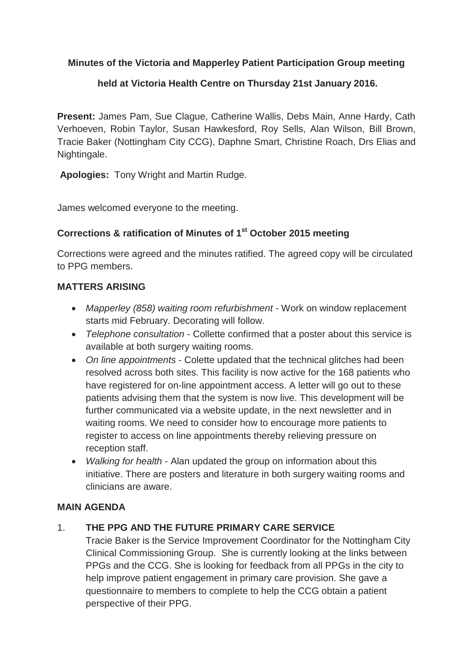## **Minutes of the Victoria and Mapperley Patient Participation Group meeting**

## **held at Victoria Health Centre on Thursday 21st January 2016.**

**Present:** James Pam, Sue Clague, Catherine Wallis, Debs Main, Anne Hardy, Cath Verhoeven, Robin Taylor, Susan Hawkesford, Roy Sells, Alan Wilson, Bill Brown, Tracie Baker (Nottingham City CCG), Daphne Smart, Christine Roach, Drs Elias and Nightingale.

**Apologies:** Tony Wright and Martin Rudge.

James welcomed everyone to the meeting.

## **Corrections & ratification of Minutes of 1 st October 2015 meeting**

Corrections were agreed and the minutes ratified. The agreed copy will be circulated to PPG members.

### **MATTERS ARISING**

- *Mapperley (858) waiting room refurbishment* Work on window replacement starts mid February. Decorating will follow.
- *Telephone consultation* Collette confirmed that a poster about this service is available at both surgery waiting rooms.
- *On line appointments* Colette updated that the technical glitches had been resolved across both sites. This facility is now active for the 168 patients who have registered for on-line appointment access. A letter will go out to these patients advising them that the system is now live. This development will be further communicated via a website update, in the next newsletter and in waiting rooms. We need to consider how to encourage more patients to register to access on line appointments thereby relieving pressure on reception staff.
- *Walking for health* Alan updated the group on information about this initiative. There are posters and literature in both surgery waiting rooms and clinicians are aware.

### **MAIN AGENDA**

# 1. **THE PPG AND THE FUTURE PRIMARY CARE SERVICE**

Tracie Baker is the Service Improvement Coordinator for the Nottingham City Clinical Commissioning Group. She is currently looking at the links between PPGs and the CCG. She is looking for feedback from all PPGs in the city to help improve patient engagement in primary care provision. She gave a questionnaire to members to complete to help the CCG obtain a patient perspective of their PPG.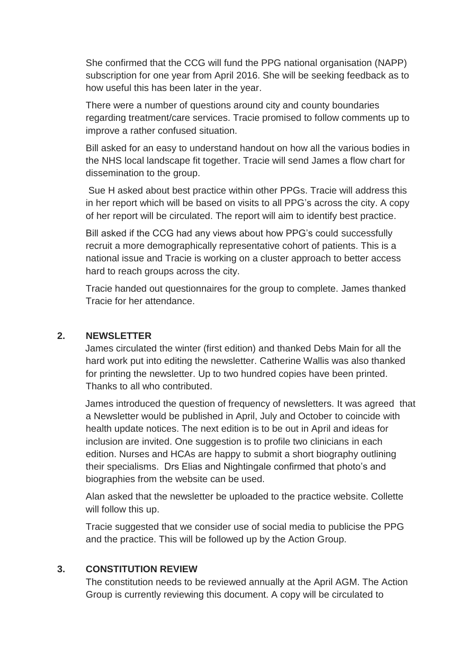She confirmed that the CCG will fund the PPG national organisation (NAPP) subscription for one year from April 2016. She will be seeking feedback as to how useful this has been later in the year.

There were a number of questions around city and county boundaries regarding treatment/care services. Tracie promised to follow comments up to improve a rather confused situation.

Bill asked for an easy to understand handout on how all the various bodies in the NHS local landscape fit together. Tracie will send James a flow chart for dissemination to the group.

Sue H asked about best practice within other PPGs. Tracie will address this in her report which will be based on visits to all PPG's across the city. A copy of her report will be circulated. The report will aim to identify best practice.

Bill asked if the CCG had any views about how PPG's could successfully recruit a more demographically representative cohort of patients. This is a national issue and Tracie is working on a cluster approach to better access hard to reach groups across the city.

Tracie handed out questionnaires for the group to complete. James thanked Tracie for her attendance.

## **2. NEWSLETTER**

James circulated the winter (first edition) and thanked Debs Main for all the hard work put into editing the newsletter. Catherine Wallis was also thanked for printing the newsletter. Up to two hundred copies have been printed. Thanks to all who contributed.

James introduced the question of frequency of newsletters. It was agreed that a Newsletter would be published in April, July and October to coincide with health update notices. The next edition is to be out in April and ideas for inclusion are invited. One suggestion is to profile two clinicians in each edition. Nurses and HCAs are happy to submit a short biography outlining their specialisms. Drs Elias and Nightingale confirmed that photo's and biographies from the website can be used.

Alan asked that the newsletter be uploaded to the practice website. Collette will follow this up.

Tracie suggested that we consider use of social media to publicise the PPG and the practice. This will be followed up by the Action Group.

### **3. CONSTITUTION REVIEW**

The constitution needs to be reviewed annually at the April AGM. The Action Group is currently reviewing this document. A copy will be circulated to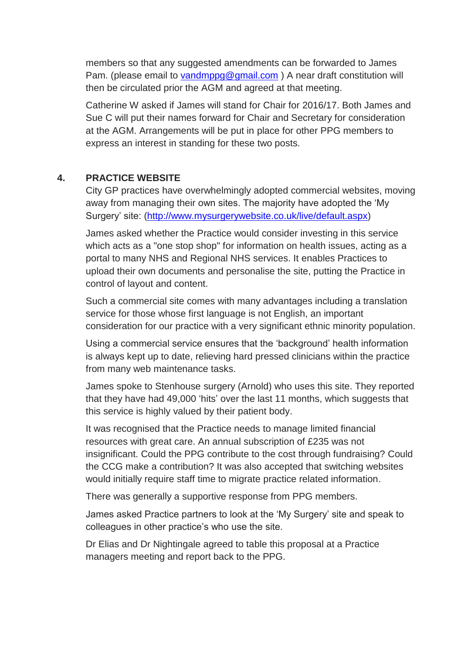members so that any suggested amendments can be forwarded to James Pam. (please email to [vandmppg@gmail.com](mailto:vandmppg@gmail.com) ) A near draft constitution will then be circulated prior the AGM and agreed at that meeting.

Catherine W asked if James will stand for Chair for 2016/17. Both James and Sue C will put their names forward for Chair and Secretary for consideration at the AGM. Arrangements will be put in place for other PPG members to express an interest in standing for these two posts.

#### **4. PRACTICE WEBSITE**

City GP practices have overwhelmingly adopted commercial websites, moving away from managing their own sites. The majority have adopted the 'My Surgery' site: [\(http://www.mysurgerywebsite.co.uk/live/default.aspx\)](http://www.mysurgerywebsite.co.uk/live/default.aspx)

James asked whether the Practice would consider investing in this service which acts as a "one stop shop" for information on health issues, acting as a portal to many NHS and Regional NHS services. It enables Practices to upload their own documents and personalise the site, putting the Practice in control of layout and content.

Such a commercial site comes with many advantages including a translation service for those whose first language is not English, an important consideration for our practice with a very significant ethnic minority population.

Using a commercial service ensures that the 'background' health information is always kept up to date, relieving hard pressed clinicians within the practice from many web maintenance tasks.

James spoke to Stenhouse surgery (Arnold) who uses this site. They reported that they have had 49,000 'hits' over the last 11 months, which suggests that this service is highly valued by their patient body.

It was recognised that the Practice needs to manage limited financial resources with great care. An annual subscription of £235 was not insignificant. Could the PPG contribute to the cost through fundraising? Could the CCG make a contribution? It was also accepted that switching websites would initially require staff time to migrate practice related information.

There was generally a supportive response from PPG members.

James asked Practice partners to look at the 'My Surgery' site and speak to colleagues in other practice's who use the site.

Dr Elias and Dr Nightingale agreed to table this proposal at a Practice managers meeting and report back to the PPG.